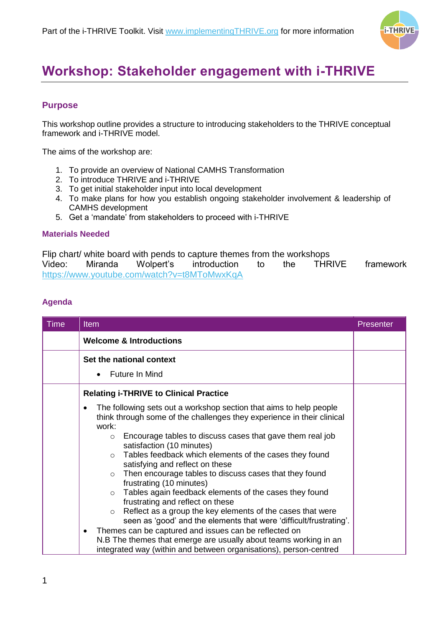

## **Workshop: Stakeholder engagement with i-THRIVE**

## **Purpose**

This workshop outline provides a structure to introducing stakeholders to the THRIVE conceptual framework and i-THRIVE model.

The aims of the workshop are:

- 1. To provide an overview of National CAMHS Transformation
- 2. To introduce THRIVE and i-THRIVE
- 3. To get initial stakeholder input into local development
- 4. To make plans for how you establish ongoing stakeholder involvement & leadership of CAMHS development
- 5. Get a 'mandate' from stakeholders to proceed with i-THRIVE

## **Materials Needed**

Flip chart/ white board with pends to capture themes from the workshops<br>Video: Miranda Wolpert's introduction to the THRIVE Video: Miranda Wolpert's introduction to the THRIVE framework <https://www.youtube.com/watch?v=t8MToMwxKqA>

## **Agenda**

| <b>Time</b> | <b>Item</b>                                                                                                                                                                                                 | <b>Presenter</b> |
|-------------|-------------------------------------------------------------------------------------------------------------------------------------------------------------------------------------------------------------|------------------|
|             | <b>Welcome &amp; Introductions</b>                                                                                                                                                                          |                  |
|             | Set the national context                                                                                                                                                                                    |                  |
|             | Future In Mind<br>$\bullet$                                                                                                                                                                                 |                  |
|             | <b>Relating i-THRIVE to Clinical Practice</b>                                                                                                                                                               |                  |
|             | The following sets out a workshop section that aims to help people<br>٠<br>think through some of the challenges they experience in their clinical<br>work:                                                  |                  |
|             | Encourage tables to discuss cases that gave them real job<br>$\circ$<br>satisfaction (10 minutes)                                                                                                           |                  |
|             | Tables feedback which elements of the cases they found<br>$\circ$<br>satisfying and reflect on these                                                                                                        |                  |
|             | Then encourage tables to discuss cases that they found<br>$\circ$<br>frustrating (10 minutes)                                                                                                               |                  |
|             | Tables again feedback elements of the cases they found<br>$\circ$<br>frustrating and reflect on these                                                                                                       |                  |
|             | Reflect as a group the key elements of the cases that were<br>$\circ$<br>seen as 'good' and the elements that were 'difficult/frustrating'.                                                                 |                  |
|             | Themes can be captured and issues can be reflected on<br>$\bullet$<br>N.B The themes that emerge are usually about teams working in an<br>integrated way (within and between organisations), person-centred |                  |